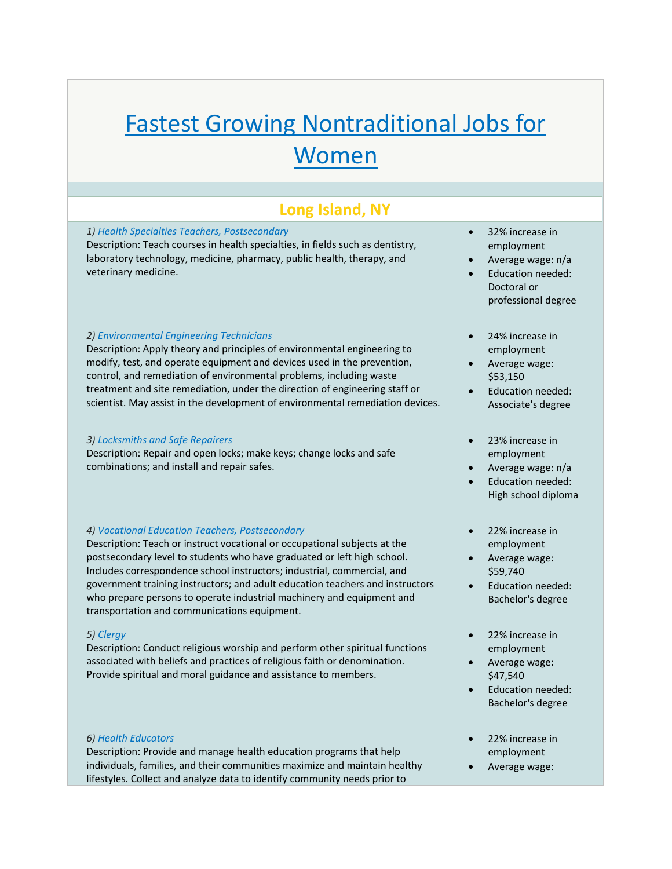# Fastest Growing Nontraditional Jobs for Women

# **Long Island, NY**

## *1) Health Specialties Teachers, Postsecondary*

Description: Teach courses in health specialties, in fields such as dentistry, laboratory technology, medicine, pharmacy, public health, therapy, and veterinary medicine.

#### *2) Environmental Engineering Technicians*

Description: Apply theory and principles of environmental engineering to modify, test, and operate equipment and devices used in the prevention, control, and remediation of environmental problems, including waste treatment and site remediation, under the direction of engineering staff or scientist. May assist in the development of environmental remediation devices.

#### *3) Locksmiths and Safe Repairers*

Description: Repair and open locks; make keys; change locks and safe combinations; and install and repair safes.

# *4) Vocational Education Teachers, Postsecondary*

Description: Teach or instruct vocational or occupational subjects at the postsecondary level to students who have graduated or left high school. Includes correspondence school instructors; industrial, commercial, and government training instructors; and adult education teachers and instructors who prepare persons to operate industrial machinery and equipment and transportation and communications equipment.

### *5) Clergy*

Description: Conduct religious worship and perform other spiritual functions associated with beliefs and practices of religious faith or denomination. Provide spiritual and moral guidance and assistance to members.

#### *6) Health Educators*

Description: Provide and manage health education programs that help individuals, families, and their communities maximize and maintain healthy lifestyles. Collect and analyze data to identify community needs prior to

- 32% increase in employment
- Average wage: n/a
- Education needed: Doctoral or professional degree
- 24% increase in employment
- Average wage: \$53,150
- Education needed: Associate's degree
- 23% increase in employment
- Average wage: n/a
- Education needed: High school diploma
- 22% increase in employment
- Average wage: \$59,740
- Education needed: Bachelor's degree
- 22% increase in employment
- Average wage: \$47,540
- Education needed: Bachelor's degree
- 22% increase in employment
- Average wage: